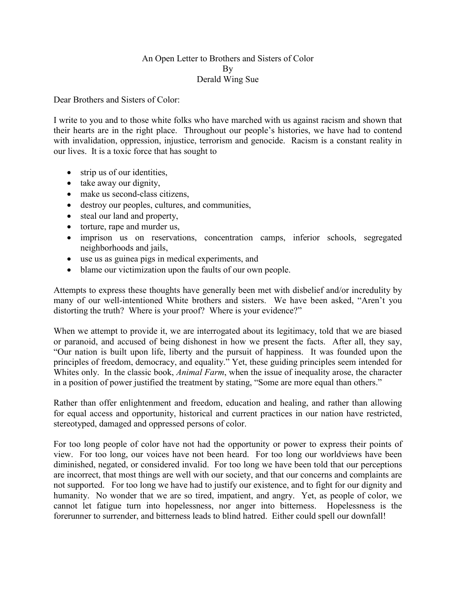## An Open Letter to Brothers and Sisters of Color By Derald Wing Sue

Dear Brothers and Sisters of Color:

I write to you and to those white folks who have marched with us against racism and shown that their hearts are in the right place. Throughout our people's histories, we have had to contend with invalidation, oppression, injustice, terrorism and genocide. Racism is a constant reality in our lives. It is a toxic force that has sought to

- strip us of our identities,
- take away our dignity,
- make us second-class citizens,
- destroy our peoples, cultures, and communities,
- steal our land and property,
- torture, rape and murder us,
- imprison us on reservations, concentration camps, inferior schools, segregated neighborhoods and jails,
- use us as guinea pigs in medical experiments, and
- blame our victimization upon the faults of our own people.

Attempts to express these thoughts have generally been met with disbelief and/or incredulity by many of our well-intentioned White brothers and sisters. We have been asked, "Aren't you distorting the truth? Where is your proof? Where is your evidence?"

When we attempt to provide it, we are interrogated about its legitimacy, told that we are biased or paranoid, and accused of being dishonest in how we present the facts. After all, they say, "Our nation is built upon life, liberty and the pursuit of happiness. It was founded upon the principles of freedom, democracy, and equality." Yet, these guiding principles seem intended for Whites only. In the classic book, *Animal Farm*, when the issue of inequality arose, the character in a position of power justified the treatment by stating, "Some are more equal than others."

Rather than offer enlightenment and freedom, education and healing, and rather than allowing for equal access and opportunity, historical and current practices in our nation have restricted, stereotyped, damaged and oppressed persons of color.

For too long people of color have not had the opportunity or power to express their points of view. For too long, our voices have not been heard. For too long our worldviews have been diminished, negated, or considered invalid. For too long we have been told that our perceptions are incorrect, that most things are well with our society, and that our concerns and complaints are not supported. For too long we have had to justify our existence, and to fight for our dignity and humanity. No wonder that we are so tired, impatient, and angry. Yet, as people of color, we cannot let fatigue turn into hopelessness, nor anger into bitterness. Hopelessness is the forerunner to surrender, and bitterness leads to blind hatred. Either could spell our downfall!